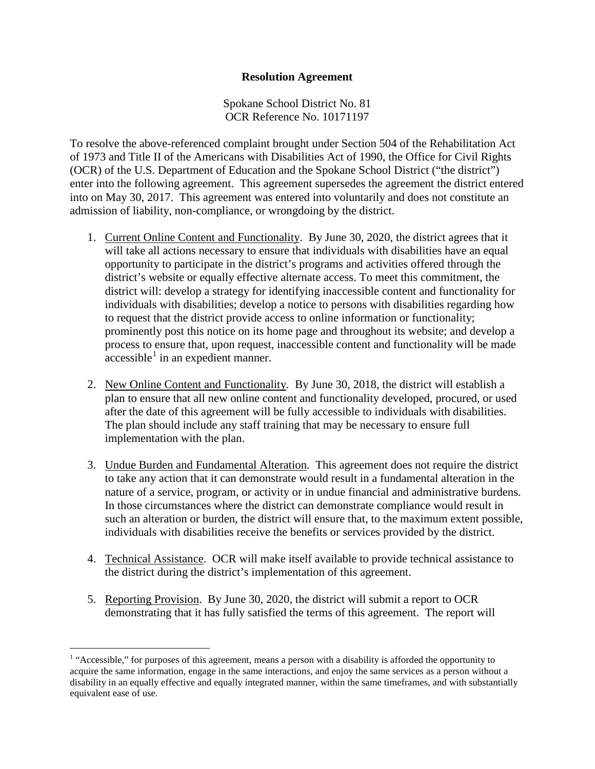## **Resolution Agreement**

Spokane School District No. 81 OCR Reference No. 10171197

To resolve the above-referenced complaint brought under Section 504 of the Rehabilitation Act of 1973 and Title II of the Americans with Disabilities Act of 1990, the Office for Civil Rights (OCR) of the U.S. Department of Education and the Spokane School District ("the district") enter into the following agreement. This agreement supersedes the agreement the district entered into on May 30, 2017. This agreement was entered into voluntarily and does not constitute an admission of liability, non-compliance, or wrongdoing by the district.

- 1. Current Online Content and Functionality. By June 30, 2020, the district agrees that it will take all actions necessary to ensure that individuals with disabilities have an equal opportunity to participate in the district's programs and activities offered through the district's website or equally effective alternate access. To meet this commitment, the district will: develop a strategy for identifying inaccessible content and functionality for individuals with disabilities; develop a notice to persons with disabilities regarding how to request that the district provide access to online information or functionality; prominently post this notice on its home page and throughout its website; and develop a process to ensure that, upon request, inaccessible content and functionality will be made  $accessible<sup>1</sup>$  $accessible<sup>1</sup>$  $accessible<sup>1</sup>$  in an expedient manner.
- 2. New Online Content and Functionality. By June 30, 2018, the district will establish a plan to ensure that all new online content and functionality developed, procured, or used after the date of this agreement will be fully accessible to individuals with disabilities. The plan should include any staff training that may be necessary to ensure full implementation with the plan.
- 3. Undue Burden and Fundamental Alteration. This agreement does not require the district to take any action that it can demonstrate would result in a fundamental alteration in the nature of a service, program, or activity or in undue financial and administrative burdens. In those circumstances where the district can demonstrate compliance would result in such an alteration or burden, the district will ensure that, to the maximum extent possible, individuals with disabilities receive the benefits or services provided by the district.
- 4. Technical Assistance. OCR will make itself available to provide technical assistance to the district during the district's implementation of this agreement.
- 5. Reporting Provision. By June 30, 2020, the district will submit a report to OCR demonstrating that it has fully satisfied the terms of this agreement. The report will

<span id="page-0-0"></span><sup>&</sup>lt;sup>1</sup> "Accessible," for purposes of this agreement, means a person with a disability is afforded the opportunity to acquire the same information, engage in the same interactions, and enjoy the same services as a person without a disability in an equally effective and equally integrated manner, within the same timeframes, and with substantially equivalent ease of use.